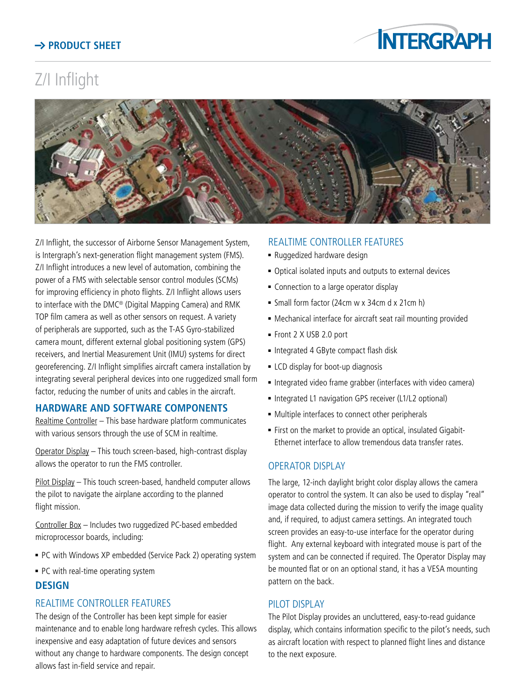# **Product Sheet**



# Z/I Inflight



Z/I Inflight, the successor of Airborne Sensor Management System, is Intergraph's next-generation flight management system (FMS). Z/I Inflight introduces a new level of automation, combining the power of a FMS with selectable sensor control modules (SCMs) for improving efficiency in photo flights. Z/I Inflight allows users to interface with the DMC® (Digital Mapping Camera) and RMK TOP film camera as well as other sensors on request. A variety of peripherals are supported, such as the T-AS Gyro-stabilized camera mount, different external global positioning system (GPS) receivers, and Inertial Measurement Unit (IMU) systems for direct georeferencing. Z/I Inflight simplifies aircraft camera installation by integrating several peripheral devices into one ruggedized small form factor, reducing the number of units and cables in the aircraft.

## **Hardware and Software Components**

Realtime Controller – This base hardware platform communicates with various sensors through the use of SCM in realtime.

Operator Display – This touch screen-based, high-contrast display allows the operator to run the FMS controller.

Pilot Display - This touch screen-based, handheld computer allows the pilot to navigate the airplane according to the planned flight mission.

Controller Box – Includes two ruggedized PC-based embedded microprocessor boards, including:

- PC with Windows XP embedded (Service Pack 2) operating system
- PC with real-time operating system

#### **Design**

#### Realtime Controller Features

The design of the Controller has been kept simple for easier maintenance and to enable long hardware refresh cycles. This allows inexpensive and easy adaptation of future devices and sensors without any change to hardware components. The design concept allows fast in-field service and repair.

#### Realtime Controller Features

- Ruggedized hardware design
- Optical isolated inputs and outputs to external devices
- **EX Connection to a large operator display**
- <sup>n</sup> Small form factor (24cm w x 34cm d x 21cm h)
- Mechanical interface for aircraft seat rail mounting provided
- Front 2 X USB 2.0 port
- Integrated 4 GByte compact flash disk
- **EXECO** display for boot-up diagnosis
- Integrated video frame grabber (interfaces with video camera)
- Integrated L1 navigation GPS receiver (L1/L2 optional)
- Multiple interfaces to connect other peripherals
- <sup>n</sup> First on the market to provide an optical, insulated Gigabit- Ethernet interface to allow tremendous data transfer rates.

#### Operator Display

The large, 12-inch daylight bright color display allows the camera operator to control the system. It can also be used to display "real" image data collected during the mission to verify the image quality and, if required, to adjust camera settings. An integrated touch screen provides an easy-to-use interface for the operator during flight. Any external keyboard with integrated mouse is part of the system and can be connected if required. The Operator Display may be mounted flat or on an optional stand, it has a VESA mounting pattern on the back.

#### PII OT DISPI AY

The Pilot Display provides an uncluttered, easy-to-read guidance display, which contains information specific to the pilot's needs, such as aircraft location with respect to planned flight lines and distance to the next exposure.